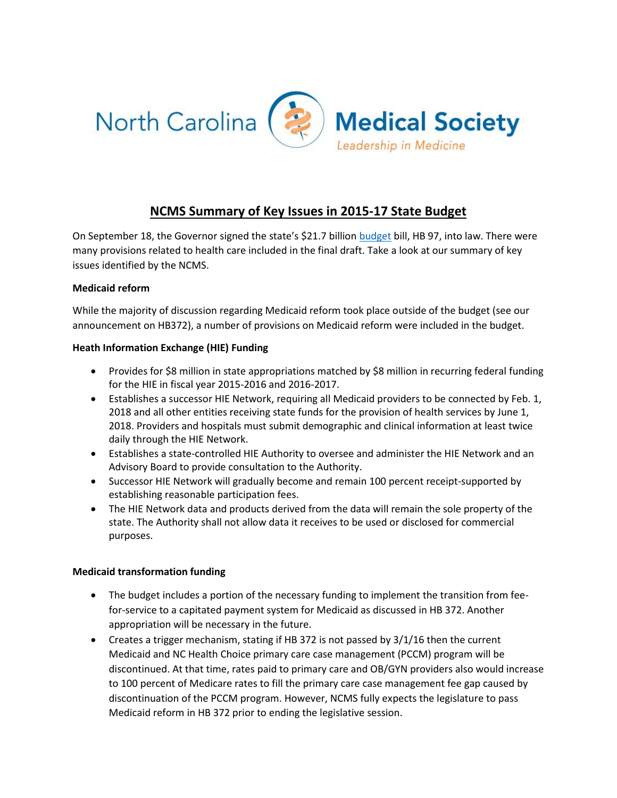

# **NCMS Summary of Key Issues in 2015-17 State Budget**

On September 18, the Governor signed the state's \$21.7 billion [budget](http://ncleg.net/Sessions/2015/Bills/House/PDF/H97v8.pdf) bill, HB 97, into law. There were many provisions related to health care included in the final draft. Take a look at our summary of key issues identified by the NCMS.

#### **Medicaid reform**

While the majority of discussion regarding Medicaid reform took place outside of the budget (see our announcement on HB372), a number of provisions on Medicaid reform were included in the budget.

# **Heath Information Exchange (HIE) Funding**

- Provides for \$8 million in state appropriations matched by \$8 million in recurring federal funding for the HIE in fiscal year 2015-2016 and 2016-2017.
- Establishes a successor HIE Network, requiring all Medicaid providers to be connected by Feb. 1, 2018 and all other entities receiving state funds for the provision of health services by June 1, 2018. Providers and hospitals must submit demographic and clinical information at least twice daily through the HIE Network.
- Establishes a state-controlled HIE Authority to oversee and administer the HIE Network and an Advisory Board to provide consultation to the Authority.
- Successor HIE Network will gradually become and remain 100 percent receipt-supported by establishing reasonable participation fees.
- The HIE Network data and products derived from the data will remain the sole property of the state. The Authority shall not allow data it receives to be used or disclosed for commercial purposes.

#### **Medicaid transformation funding**

- The budget includes a portion of the necessary funding to implement the transition from feefor-service to a capitated payment system for Medicaid as discussed in HB 372. Another appropriation will be necessary in the future.
- Creates a trigger mechanism, stating if HB 372 is not passed by  $3/1/16$  then the current Medicaid and NC Health Choice primary care case management (PCCM) program will be discontinued. At that time, rates paid to primary care and OB/GYN providers also would increase to 100 percent of Medicare rates to fill the primary care case management fee gap caused by discontinuation of the PCCM program. However, NCMS fully expects the legislature to pass Medicaid reform in HB 372 prior to ending the legislative session.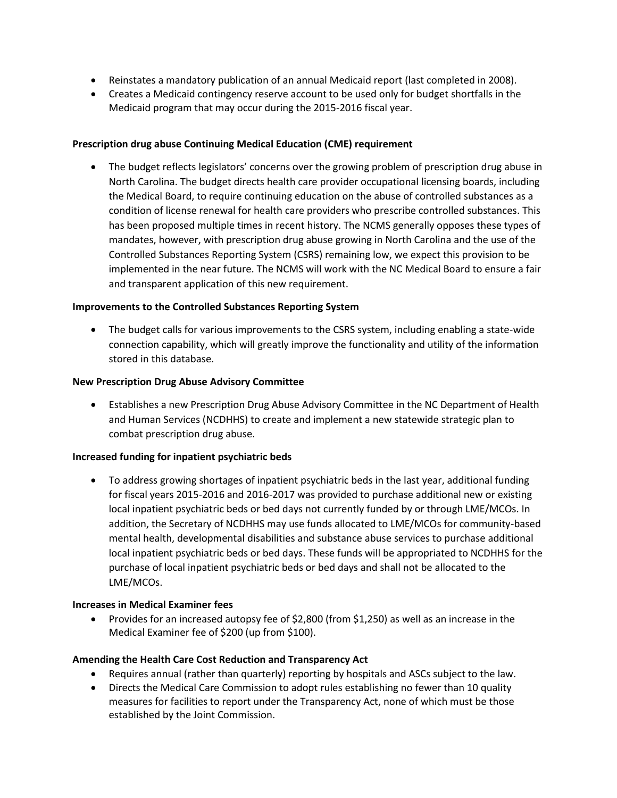- Reinstates a mandatory publication of an annual Medicaid report (last completed in 2008).
- Creates a Medicaid contingency reserve account to be used only for budget shortfalls in the Medicaid program that may occur during the 2015-2016 fiscal year.

#### **Prescription drug abuse Continuing Medical Education (CME) requirement**

 The budget reflects legislators' concerns over the growing problem of prescription drug abuse in North Carolina. The budget directs health care provider occupational licensing boards, including the Medical Board, to require continuing education on the abuse of controlled substances as a condition of license renewal for health care providers who prescribe controlled substances. This has been proposed multiple times in recent history. The NCMS generally opposes these types of mandates, however, with prescription drug abuse growing in North Carolina and the use of the Controlled Substances Reporting System (CSRS) remaining low, we expect this provision to be implemented in the near future. The NCMS will work with the NC Medical Board to ensure a fair and transparent application of this new requirement.

#### **Improvements to the Controlled Substances Reporting System**

 The budget calls for various improvements to the CSRS system, including enabling a state-wide connection capability, which will greatly improve the functionality and utility of the information stored in this database.

#### **New Prescription Drug Abuse Advisory Committee**

 Establishes a new Prescription Drug Abuse Advisory Committee in the NC Department of Health and Human Services (NCDHHS) to create and implement a new statewide strategic plan to combat prescription drug abuse.

#### **Increased funding for inpatient psychiatric beds**

 To address growing shortages of inpatient psychiatric beds in the last year, additional funding for fiscal years 2015-2016 and 2016-2017 was provided to purchase additional new or existing local inpatient psychiatric beds or bed days not currently funded by or through LME/MCOs. In addition, the Secretary of NCDHHS may use funds allocated to LME/MCOs for community-based mental health, developmental disabilities and substance abuse services to purchase additional local inpatient psychiatric beds or bed days. These funds will be appropriated to NCDHHS for the purchase of local inpatient psychiatric beds or bed days and shall not be allocated to the LME/MCOs.

#### **Increases in Medical Examiner fees**

 Provides for an increased autopsy fee of \$2,800 (from \$1,250) as well as an increase in the Medical Examiner fee of \$200 (up from \$100).

# **Amending the Health Care Cost Reduction and Transparency Act**

- Requires annual (rather than quarterly) reporting by hospitals and ASCs subject to the law.
- Directs the Medical Care Commission to adopt rules establishing no fewer than 10 quality measures for facilities to report under the Transparency Act, none of which must be those established by the Joint Commission.